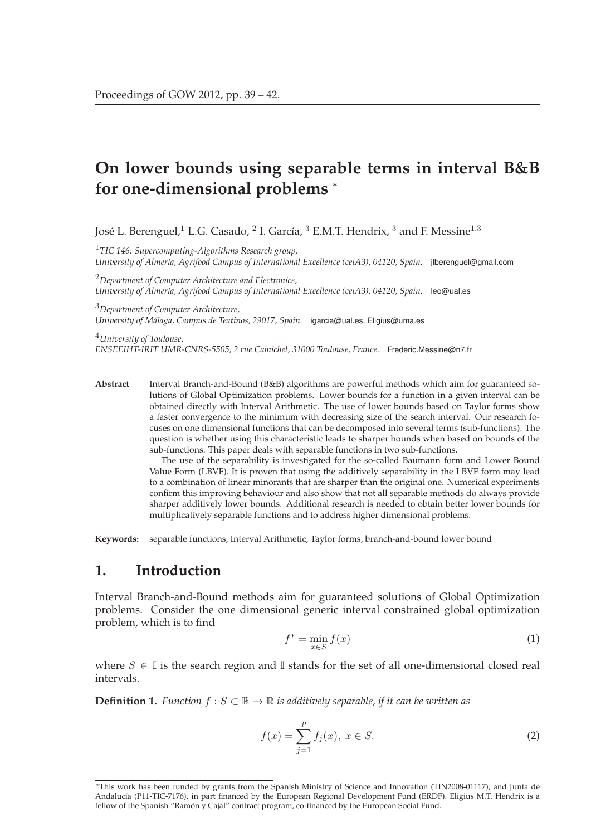# **On lower bounds using separable terms in interval B&B for one-dimensional problems** *<sup>∗</sup>*

José L. Berenguel,<sup>1</sup> L.G. Casado, <sup>2</sup> I. García, <sup>3</sup> E.M.T. Hendrix, <sup>3</sup> and F. Messine<sup>1,3</sup>

<sup>1</sup>*TIC 146: Supercomputing-Algorithms Research group, University of Almería, Agrifood Campus of International Excellence (ceiA3), 04120, Spain.* jlberenguel@gmail.com

<sup>2</sup>*Department of Computer Architecture and Electronics, University of Almería, Agrifood Campus of International Excellence (ceiA3), 04120, Spain.* leo@ual.es

<sup>3</sup>*Department of Computer Architecture, University of Málaga, Campus de Teatinos, 29017, Spain.* igarcia@ual.es, Eligius@uma.es

<sup>4</sup>*University of Toulouse, ENSEEIHT-IRIT UMR-CNRS-5505, 2 rue Camichel, 31000 Toulouse, France.* Frederic.Messine@n7.fr

**Abstract** Interval Branch-and-Bound (B&B) algorithms are powerful methods which aim for guaranteed solutions of Global Optimization problems. Lower bounds for a function in a given interval can be obtained directly with Interval Arithmetic. The use of lower bounds based on Taylor forms show a faster convergence to the minimum with decreasing size of the search interval. Our research focuses on one dimensional functions that can be decomposed into several terms (sub-functions). The question is whether using this characteristic leads to sharper bounds when based on bounds of the sub-functions. This paper deals with separable functions in two sub-functions.

The use of the separability is investigated for the so-called Baumann form and Lower Bound Value Form (LBVF). It is proven that using the additively separability in the LBVF form may lead to a combination of linear minorants that are sharper than the original one. Numerical experiments confirm this improving behaviour and also show that not all separable methods do always provide sharper additively lower bounds. Additional research is needed to obtain better lower bounds for multiplicatively separable functions and to address higher dimensional problems.

**Keywords:** separable functions, Interval Arithmetic, Taylor forms, branch-and-bound lower bound

## **1. Introduction**

Interval Branch-and-Bound methods aim for guaranteed solutions of Global Optimization problems. Consider the one dimensional generic interval constrained global optimization problem, which is to find

$$
f^* = \min_{x \in S} f(x) \tag{1}
$$

where  $S \in \mathbb{I}$  is the search region and  $\mathbb{I}$  stands for the set of all one-dimensional closed real intervals.

**Definition 1.** *Function*  $f : S \subset \mathbb{R} \to \mathbb{R}$  *is additively separable, if it can be written as* 

$$
f(x) = \sum_{j=1}^{p} f_j(x), \ x \in S.
$$
 (2)

<sup>∗</sup>This work has been funded by grants from the Spanish Ministry of Science and Innovation (TIN2008-01117), and Junta de Andalucía (P11-TIC-7176), in part financed by the European Regional Development Fund (ERDF). Eligius M.T. Hendrix is a fellow of the Spanish "Ramón y Cajal" contract program, co-financed by the European Social Fund.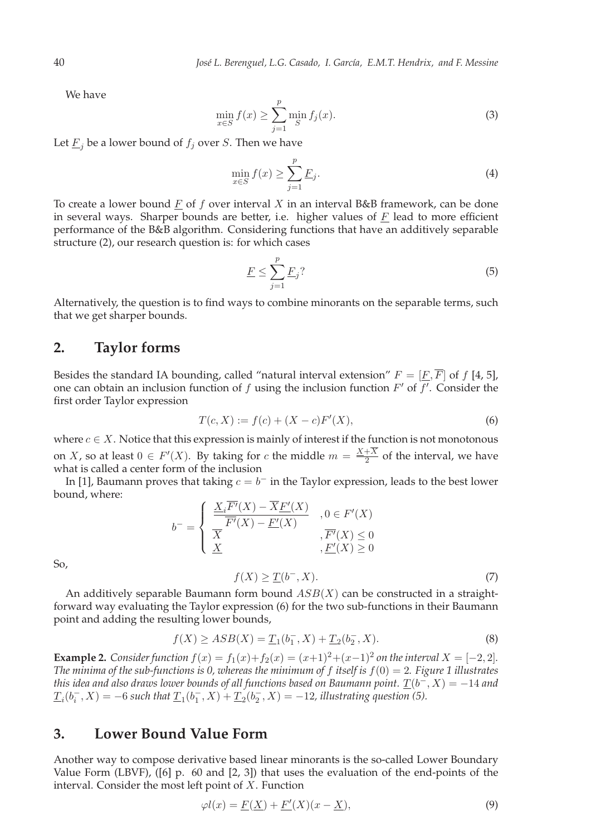We have

$$
\min_{x \in S} f(x) \ge \sum_{j=1}^{p} \min_{S} f_j(x). \tag{3}
$$

Let  $\underline{F}_i$  be a lower bound of  $f_j$  over S. Then we have

$$
\min_{x \in S} f(x) \ge \sum_{j=1}^{p} \underline{F}_j. \tag{4}
$$

To create a lower bound  $F$  of  $f$  over interval  $X$  in an interval  $B\&B$  framework, can be done in several ways. Sharper bounds are better, i.e. higher values of  $E$  lead to more efficient performance of the B&B algorithm. Considering functions that have an additively separable structure (2), our research question is: for which cases

$$
\underline{F} \le \sum_{j=1}^{p} \underline{F}_j \tag{5}
$$

Alternatively, the question is to find ways to combine minorants on the separable terms, such that we get sharper bounds.

### **2. Taylor forms**

Besides the standard IA bounding, called "natural interval extension"  $F = [F, \overline{F}]$  of f [4, 5], one can obtain an inclusion function of  $f$  using the inclusion function  $F'$  of  $f'$ . Consider the first order Taylor expression

$$
T(c, X) := f(c) + (X - c)F'(X),
$$
\n(6)

where  $c \in X$ . Notice that this expression is mainly of interest if the function is not monotonous on *X*, so at least  $0 \in F'(X)$ . By taking for *c* the middle  $m = \frac{X+X}{2}$  of the interval, we have what is called a center form of the inclusion

In [1], Baumann proves that taking  $c = b^-$  in the Taylor expression, leads to the best lower bound, where:

$$
b^{-} = \begin{cases} \frac{\underline{X}_{i}F'(X) - X\underline{F}'(X)}{\overline{F}'(X) - \underline{F}'(X)} & , 0 \in F'(X) \\ \underline{X} & , \overline{F'}(X) \le 0 \\ \underline{X} & , \underline{F}'(X) \ge 0 \end{cases}
$$

So,

$$
f(X) \ge \underline{T}(b^-, X). \tag{7}
$$

An additively separable Baumann form bound  $ASB(X)$  can be constructed in a straightforward way evaluating the Taylor expression (6) for the two sub-functions in their Baumann point and adding the resulting lower bounds,

$$
f(X) \ge ASB(X) = \underline{T}_1(b_1^-, X) + \underline{T}_2(b_2^-, X). \tag{8}
$$

**Example 2.** *Consider function*  $f(x) = f_1(x) + f_2(x) = (x+1)^2 + (x-1)^2$  *on the interval*  $X = [-2, 2]$ *. The minima of the sub-functions is 0, whereas the minimum of* f *itself is* f(0) = 2*. Figure 1 illustrates this idea and also draws lower bounds of all functions based on Baumann point.*  $\underline{T}(b^-, X) = -14$  *and*  $\underline{T}_i(b_i^-, X) = -6$  such that  $\underline{T}_1(b_1^-, X) + \underline{T}_2(b_2^-, X) = -12$ , illustrating question (5).

### **3. Lower Bound Value Form**

Another way to compose derivative based linear minorants is the so-called Lower Boundary Value Form (LBVF), ([6] p. 60 and [2, 3]) that uses the evaluation of the end-points of the interval. Consider the most left point of  $X$ . Function

$$
\varphi l(x) = \underline{F(\underline{X})} + \underline{F'}(X)(x - \underline{X}),\tag{9}
$$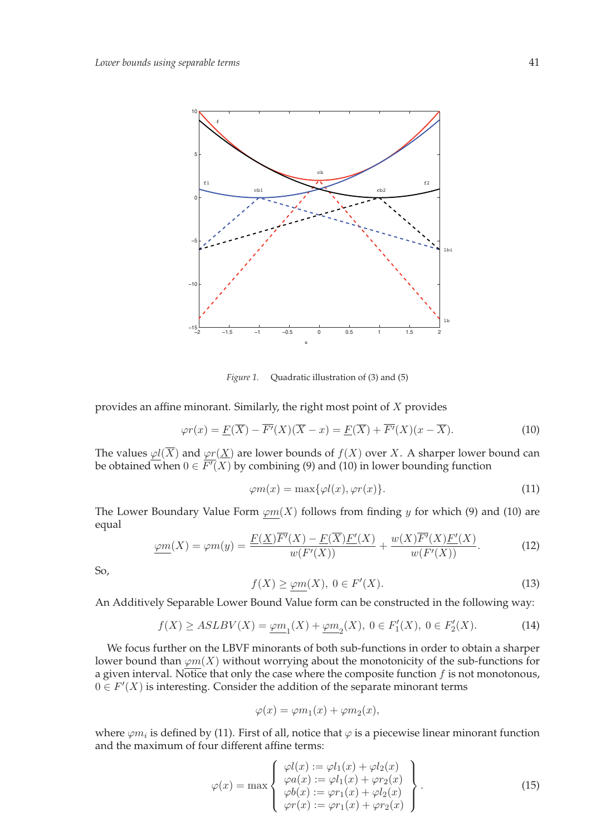

*Figure 1.* Quadratic illustration of (3) and (5)

provides an affine minorant. Similarly, the right most point of X provides

$$
\varphi r(x) = \underline{F}(\overline{X}) - \overline{F'}(X)(\overline{X} - x) = \underline{F}(\overline{X}) + \overline{F'}(X)(x - \overline{X}).\tag{10}
$$

The values  $\varphi$ l( $\overline{X}$ ) and  $\varphi$ r(X) are lower bounds of  $f(X)$  over X. A sharper lower bound can be obtained when  $0 \in F'(X)$  by combining (9) and (10) in lower bounding function

$$
\varphi m(x) = \max{\varphi l(x), \varphi r(x)}.
$$
\n(11)

The Lower Boundary Value Form  $\varphi m(X)$  follows from finding y for which (9) and (10) are equal

$$
\underline{\varphi m}(X) = \varphi m(y) = \frac{\underline{F(X)\overline{F'}(X) - F(\overline{X})\underline{F'}(X)}}{w(F'(X))} + \frac{w(X)\overline{F'}(X)\underline{F'}(X)}{w(F'(X))}.
$$
(12)

So,

$$
f(X) \ge \varphi m(X), \ 0 \in F'(X). \tag{13}
$$

An Additively Separable Lower Bound Value form can be constructed in the following way:

$$
f(X) \ge ASLBV(X) = \underline{\varphi m}_1(X) + \underline{\varphi m}_2(X), \ 0 \in F_1'(X), \ 0 \in F_2'(X). \tag{14}
$$

We focus further on the LBVF minorants of both sub-functions in order to obtain a sharper lower bound than  $\varphi m(X)$  without worrying about the monotonicity of the sub-functions for a given interval. Notice that only the case where the composite function  $f$  is not monotonous,  $0 \in F'(X)$  is interesting. Consider the addition of the separate minorant terms

$$
\varphi(x) = \varphi m_1(x) + \varphi m_2(x),
$$

where  $\varphi m_i$  is defined by (11). First of all, notice that  $\varphi$  is a piecewise linear minorant function and the maximum of four different affine terms:

$$
\varphi(x) = \max \begin{cases} \varphi l(x) := \varphi l_1(x) + \varphi l_2(x) \\ \varphi a(x) := \varphi l_1(x) + \varphi r_2(x) \\ \varphi b(x) := \varphi r_1(x) + \varphi l_2(x) \\ \varphi r(x) := \varphi r_1(x) + \varphi r_2(x) \end{cases} (15)
$$